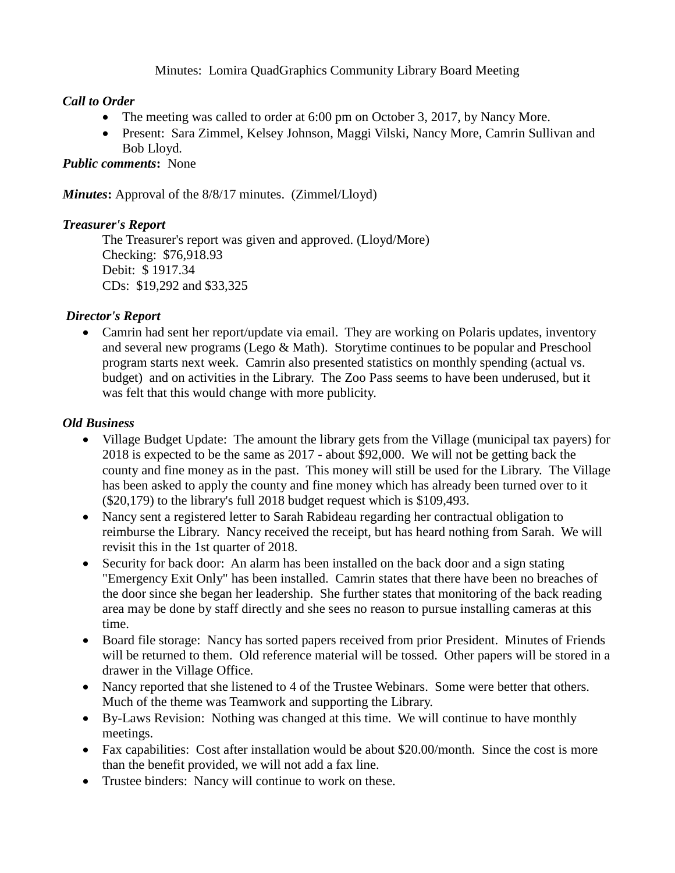### Minutes: Lomira QuadGraphics Community Library Board Meeting

### *Call to Order*

- The meeting was called to order at 6:00 pm on October 3, 2017, by Nancy More.
- Present: Sara Zimmel, Kelsey Johnson, Maggi Vilski, Nancy More, Camrin Sullivan and Bob Lloyd*.*

#### *Public comments***:** None

*Minutes***:** Approval of the 8/8/17 minutes. (Zimmel/Lloyd)

#### *Treasurer's Report*

The Treasurer's report was given and approved. (Lloyd/More) Checking: \$76,918.93 Debit: \$ 1917.34 CDs: \$19,292 and \$33,325

#### *Director's Report*

• Camrin had sent her report/update via email. They are working on Polaris updates, inventory and several new programs (Lego & Math). Storytime continues to be popular and Preschool program starts next week. Camrin also presented statistics on monthly spending (actual vs. budget) and on activities in the Library. The Zoo Pass seems to have been underused, but it was felt that this would change with more publicity.

#### *Old Business*

- Village Budget Update: The amount the library gets from the Village (municipal tax payers) for 2018 is expected to be the same as 2017 - about \$92,000. We will not be getting back the county and fine money as in the past. This money will still be used for the Library. The Village has been asked to apply the county and fine money which has already been turned over to it (\$20,179) to the library's full 2018 budget request which is \$109,493.
- Nancy sent a registered letter to Sarah Rabideau regarding her contractual obligation to reimburse the Library. Nancy received the receipt, but has heard nothing from Sarah. We will revisit this in the 1st quarter of 2018.
- Security for back door: An alarm has been installed on the back door and a sign stating "Emergency Exit Only" has been installed. Camrin states that there have been no breaches of the door since she began her leadership. She further states that monitoring of the back reading area may be done by staff directly and she sees no reason to pursue installing cameras at this time.
- Board file storage: Nancy has sorted papers received from prior President. Minutes of Friends will be returned to them. Old reference material will be tossed. Other papers will be stored in a drawer in the Village Office.
- Nancy reported that she listened to 4 of the Trustee Webinars. Some were better that others. Much of the theme was Teamwork and supporting the Library.
- By-Laws Revision: Nothing was changed at this time. We will continue to have monthly meetings.
- Fax capabilities: Cost after installation would be about \$20.00/month. Since the cost is more than the benefit provided, we will not add a fax line.
- Trustee binders: Nancy will continue to work on these.